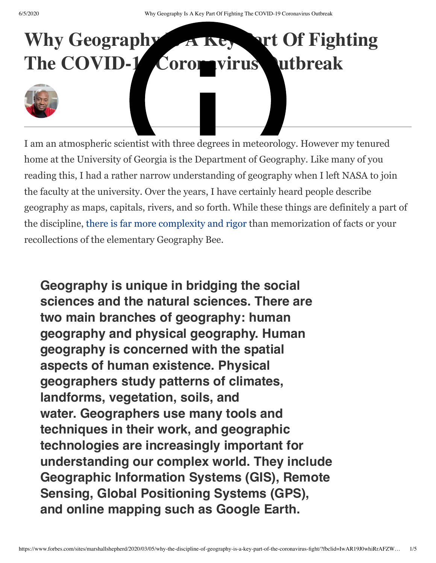## Why Geography A Key **Part Of Fighting** The COVID-1 Coromvirus utbreak

I am an atmospheric scientist with three degrees in meteorology. However my tenured home at the University of Georgia is the Department of Geography. Like many of you reading this, I had a rather narrow understanding of geography when I left NASA to join the faculty at the university. Over the years, I have certainly heard people describe geography as maps, capitals, rivers, and so forth. While these things are definitely a part of the discipline, [there is far more complexity and rigor](http://www.nationalgeographic.org/education/what-is-geography/) than memorization of facts or your recollections of the elementary Geography Bee.

**Geography is unique in bridging the social sciences and the natural sciences. There are two main branches of geography: human geography and physical geography. Human geography is concerned with the spatial aspects of human existence. Physical geographers study patterns of climates, landforms, vegetation, soils, and water. Geographers use many tools and techniques in their work, and geographic technologies are increasingly important for understanding our complex world. They include Geographic Information Systems (GIS), Remote Sensing, Global Positioning Systems (GPS), and online mapping such as Google Earth.**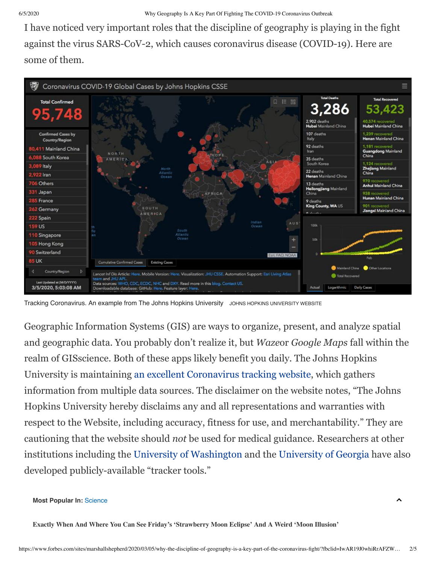I have noticed very important roles that the discipline of geography is playing in the fight against the virus SARS-CoV-2, which causes coronavirus disease (COVID-19). Here are some of them.



Tracking Coronavirus. An example from The Johns Hopkins University JOHNS HOPKINS UNIVERSITY WEBSITE

Geographic Information Systems (GIS) are ways to organize, present, and analyze spatial and geographic data. You probably don't realize it, but *Waze*or *Google Maps* fall within the realm of GISscience. Both of these apps likely benefit you daily. The Johns Hopkins University is maintaining [an excellent Coronavirus tracking website,](https://gisanddata.maps.arcgis.com/apps/opsdashboard/index.html?fbclid=IwAR0JRINvSRUu-wOIRTgT_r3pgphO564iuBkjCrNjBEM5QYdHEY6qMe4ygk8#/bda7594740fd40299423467b48e9ecf6) which gathers information from multiple data sources. The disclaimer on the website notes, "The Johns Hopkins University hereby disclaims any and all representations and warranties with respect to the Website, including accuracy, fitness for use, and merchantability." They are cautioning that the website should *not* be used for medical guidance. Researchers at other institutions including th[e University of Washington](https://www.washington.edu/news/2020/02/07/interactive-map-shows-worldwide-spread-of-coronavirus/) and the [University of Georgia](http://2019-coronavirus-tracker.com/) have also developed publicly-available "tracker tools."

## **Most Popular In:** [Science](https://www.forbes.com/science)

**Exactly When And Where You Can See Friday's ['Strawberry](https://www.forbes.com/sites/jamiecartereurope/2020/06/04/exactly-when-and-where-you-can-see-fridays-strawberry-moon-eclipse-and-a-weird-moon-illusion/) Moon Eclipse' And A Weird 'Moon Illusion'**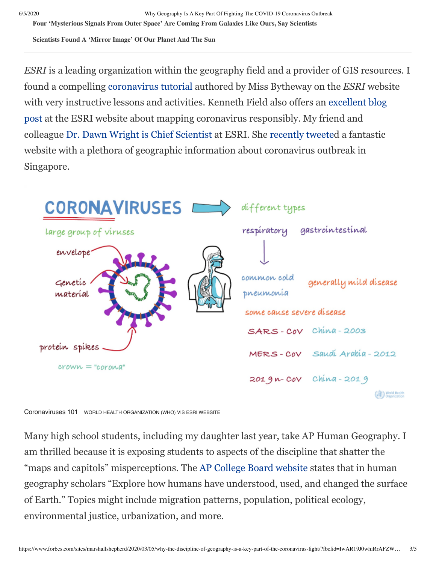6/5/2020 Why Geography Is A Key Part Of Fighting The COVID-19 Coronavirus Outbreak

**Four ['Mysterious](https://www.forbes.com/sites/jamiecartereurope/2020/06/03/four-mysterious-signals-from-outer-space-are-coming-from-galaxies-like-ours-say-scientists/) Signals From Outer Space' Are Coming From Galaxies Like Ours, Say Scientists**

**[Scientists](https://www.forbes.com/sites/jamiecartereurope/2020/06/04/scientists-have-found-a-possible-mirror-image-of-our-planet-and-the-sun/) Found A 'Mirror Image' Of Our Planet And The Sun**

*ESRI* is a leading organization within the geography field and a provider of GIS resources. I found a compelling [coronavirus tutorial](https://gisanddata.maps.arcgis.com/apps/opsdashboard/index.html?fbclid=IwAR0JRINvSRUu-wOIRTgT_r3pgphO564iuBkjCrNjBEM5QYdHEY6qMe4ygk8#/bda7594740fd40299423467b48e9ecf6) authored by Miss Bytheway on the *ESRI* website with very instructive lessons and activities. Kenneth Field also offers an excellent blog post [at the ESRI website about mapping coronavirus responsibly. My friend and](https://www.esri.com/arcgis-blog/products/product/mapping/mapping-coronavirus-responsibly/) colleague [Dr. Dawn Wright is Chief Scientist](https://www.esri.com/en-us/about/events/ocean-gis-forum/agenda/plenary/dawn-wright) at ESRI. She [recently tweete](https://twitter.com/RyutaroUchiyama/status/1234616723615166465/photo/1)d a fantastic website with a plethora of geographic information about coronavirus outbreak in Singapore.



Coronaviruses 101 WORLD HEALTH ORGANIZATION (WHO) VIS ESRI WEBSITE

Many high school students, including my daughter last year, take AP Human Geography. I am thrilled because it is exposing students to aspects of the discipline that shatter the "maps and capitols" misperceptions. The [AP College Board website](https://apstudents.collegeboard.org/courses/ap-human-geography) states that in human geography scholars "Explore how humans have understood, used, and changed the surface of Earth." Topics might include migration patterns, population, political ecology, environmental justice, urbanization, and more.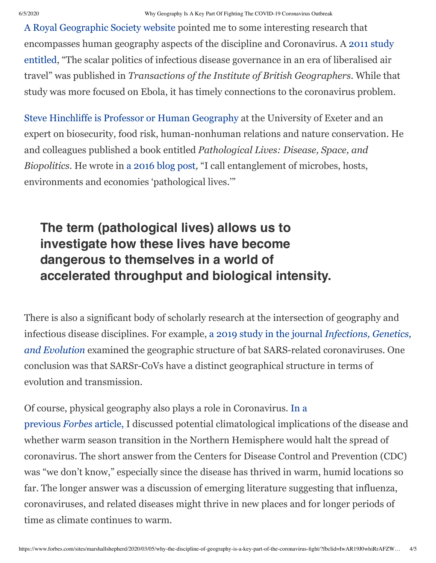[A Royal Geographic Society website](https://www.rgs.org/schools/teaching-resources/the-coronavirus/) pointed me to some interesting research that encompasses human geography aspects of the discipline and Coronavirus. A 2011 study [entitled, "The scalar politics of infectious disease governance in an era of liberalised air](https://blog.geographydirections.com/2014/08/14/the-scalar-politics-of-infectious-disease-governance-in-an-era-of-liberalised-air-travel/) travel" was published in *Transactions of the Institute of British Geographers*. While that study was more focused on Ebola, it has timely connections to the coronavirus problem.

[Steve Hinchliffe is Professor or Human Geography](https://geography.exeter.ac.uk/staff/index.php?web_id=Steve_Hinchliffe) at the University of Exeter and an expert on biosecurity, food risk, human-nonhuman relations and nature conservation. He and colleagues published a book entitled *Pathological Lives: Disease, Space, and Biopolitics.* He wrote in [a 2016 blog post](https://blog.geographydirections.com/2016/12/14/the-world-needs-to-be-concerned-pathological-lives/)*,* "I call entanglement of microbes, hosts, environments and economies 'pathological lives.'"

## **The term (pathological lives) allows us to investigate how these lives have become dangerous to themselves in a world of accelerated throughput and biological intensity.**

There is also a significant body of scholarly research at the intersection of geography and infectious disease disciplines. For example, a 2019 study in the journal *Infections, Genetics, and Evolution* [examined the geographic structure of bat SARS-related coronaviruses. One](https://www.sciencedirect.com/science/article/pii/S156713481830902X) conclusion was that SARSr-CoVs have a distinct geographical structure in terms of evolution and transmission.

[Of course, physical geography also plays a role in Coronavirus.](https://www.forbes.com/sites/marshallshepherd/2020/02/27/will-spring-temperatures-stop-coronavirus/#545c76373770) In a previous *Forbes* article, I discussed potential climatological implications of the disease and whether warm season transition in the Northern Hemisphere would halt the spread of coronavirus. The short answer from the Centers for Disease Control and Prevention (CDC) was "we don't know," especially since the disease has thrived in warm, humid locations so far. The longer answer was a discussion of emerging literature suggesting that influenza, coronaviruses, and related diseases might thrive in new places and for longer periods of time as climate continues to warm.